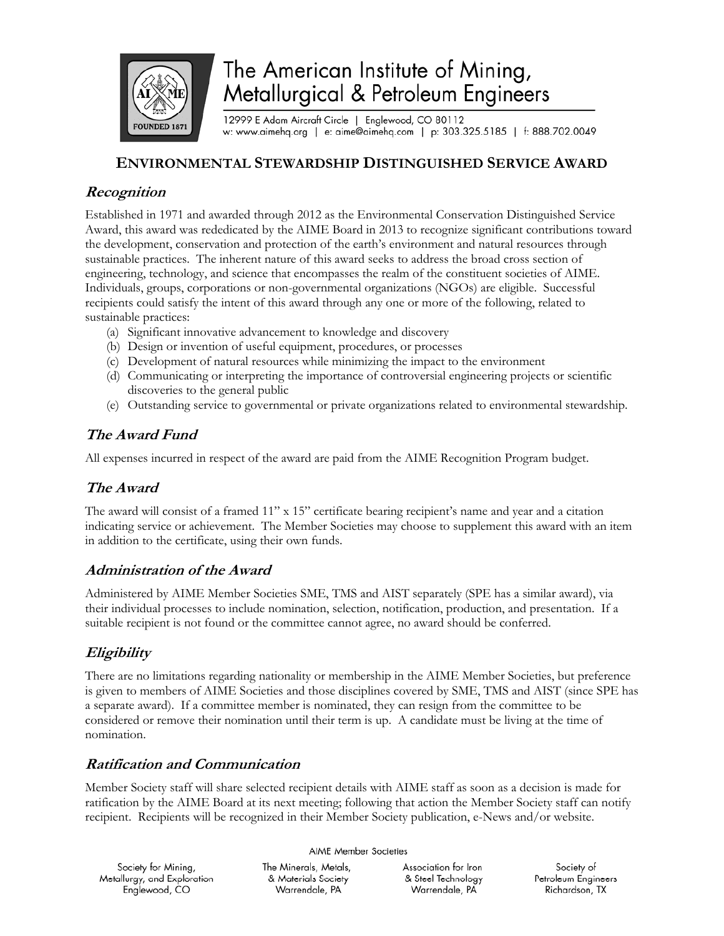

# The American Institute of Mining, Metallurgical & Petroleum Engineers

12999 E Adam Aircraft Circle | Englewood, CO 80112 w: www.aimehq.org | e: aime@aimehq.com | p: 303.325.5185 | f: 888.702.0049

### **ENVIRONMENTAL STEWARDSHIP DISTINGUISHED SERVICE AWARD**

#### **Recognition**

Established in 1971 and awarded through 2012 as the Environmental Conservation Distinguished Service Award, this award was rededicated by the AIME Board in 2013 to recognize significant contributions toward the development, conservation and protection of the earth's environment and natural resources through sustainable practices. The inherent nature of this award seeks to address the broad cross section of engineering, technology, and science that encompasses the realm of the constituent societies of AIME. Individuals, groups, corporations or non-governmental organizations (NGOs) are eligible. Successful recipients could satisfy the intent of this award through any one or more of the following, related to sustainable practices:

- (a) Significant innovative advancement to knowledge and discovery
- (b) Design or invention of useful equipment, procedures, or processes
- (c) Development of natural resources while minimizing the impact to the environment
- (d) Communicating or interpreting the importance of controversial engineering projects or scientific discoveries to the general public
- (e) Outstanding service to governmental or private organizations related to environmental stewardship.

## **The Award Fund**

All expenses incurred in respect of the award are paid from the AIME Recognition Program budget.

#### **The Award**

The award will consist of a framed 11" x 15" certificate bearing recipient's name and year and a citation indicating service or achievement. The Member Societies may choose to supplement this award with an item in addition to the certificate, using their own funds.

#### **Administration of the Award**

Administered by AIME Member Societies SME, TMS and AIST separately (SPE has a similar award), via their individual processes to include nomination, selection, notification, production, and presentation. If a suitable recipient is not found or the committee cannot agree, no award should be conferred.

# **Eligibility**

There are no limitations regarding nationality or membership in the AIME Member Societies, but preference is given to members of AIME Societies and those disciplines covered by SME, TMS and AIST (since SPE has a separate award). If a committee member is nominated, they can resign from the committee to be considered or remove their nomination until their term is up. A candidate must be living at the time of nomination.

#### **Ratification and Communication**

Member Society staff will share selected recipient details with AIME staff as soon as a decision is made for ratification by the AIME Board at its next meeting; following that action the Member Society staff can notify recipient. Recipients will be recognized in their Member Society publication, e-News and/or website.

| AIME Member Societies       |                       |                      |                     |
|-----------------------------|-----------------------|----------------------|---------------------|
| Society for Mining,         | The Minerals, Metals, | Association for Iron | Society of          |
| Metallurgy, and Exploration | & Materials Society   | & Steel Technology   | Petroleum Engineers |
| Englewood, CO               | Warrendale, PA        | Warrendale, PA       | Richardson, TX      |